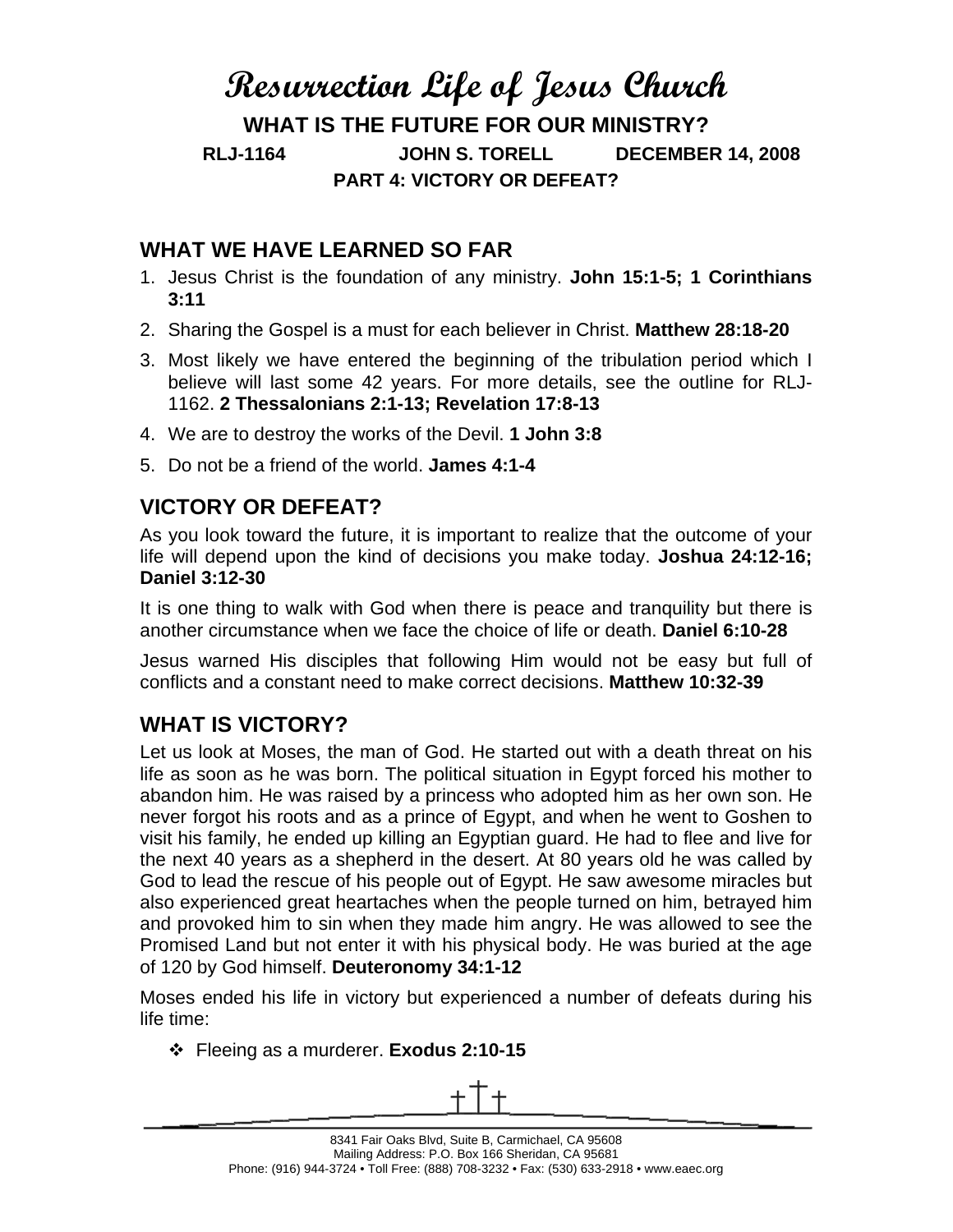## **Resurrection Life of Jesus Church**

**WHAT IS THE FUTURE FOR OUR MINISTRY? RLJ-1164 JOHN S. TORELL DECEMBER 14, 2008 PART 4: VICTORY OR DEFEAT?** 

## **WHAT WE HAVE LEARNED SO FAR**

- 1. Jesus Christ is the foundation of any ministry. **John 15:1-5; 1 Corinthians 3:11**
- 2. Sharing the Gospel is a must for each believer in Christ. **Matthew 28:18-20**
- 3. Most likely we have entered the beginning of the tribulation period which I believe will last some 42 years. For more details, see the outline for RLJ-1162. **2 Thessalonians 2:1-13; Revelation 17:8-13**
- 4. We are to destroy the works of the Devil. **1 John 3:8**
- 5. Do not be a friend of the world. **James 4:1-4**

## **VICTORY OR DEFEAT?**

As you look toward the future, it is important to realize that the outcome of your life will depend upon the kind of decisions you make today. **Joshua 24:12-16; Daniel 3:12-30**

It is one thing to walk with God when there is peace and tranquility but there is another circumstance when we face the choice of life or death. **Daniel 6:10-28**

Jesus warned His disciples that following Him would not be easy but full of conflicts and a constant need to make correct decisions. **Matthew 10:32-39**

## **WHAT IS VICTORY?**

Let us look at Moses, the man of God. He started out with a death threat on his life as soon as he was born. The political situation in Egypt forced his mother to abandon him. He was raised by a princess who adopted him as her own son. He never forgot his roots and as a prince of Egypt, and when he went to Goshen to visit his family, he ended up killing an Egyptian guard. He had to flee and live for the next 40 years as a shepherd in the desert. At 80 years old he was called by God to lead the rescue of his people out of Egypt. He saw awesome miracles but also experienced great heartaches when the people turned on him, betrayed him and provoked him to sin when they made him angry. He was allowed to see the Promised Land but not enter it with his physical body. He was buried at the age of 120 by God himself. **Deuteronomy 34:1-12**

Moses ended his life in victory but experienced a number of defeats during his life time:

Fleeing as a murderer. **Exodus 2:10-15**